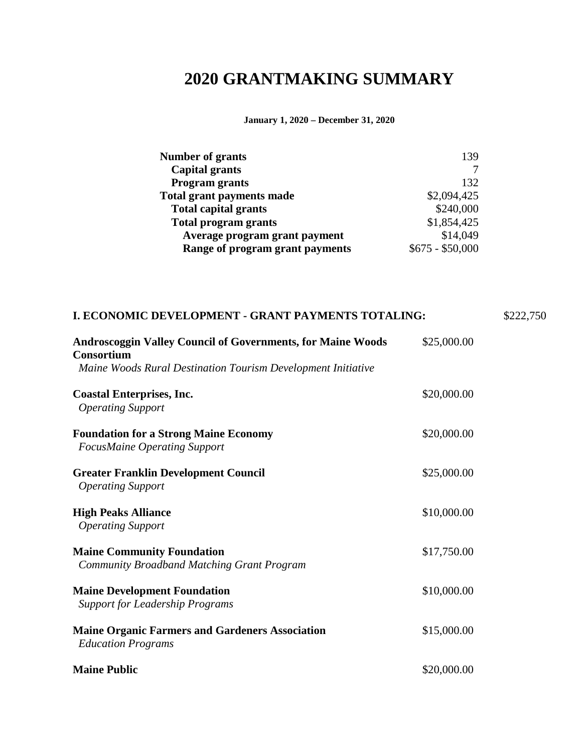## **2020 GRANTMAKING SUMMARY**

**January 1, 2020 – December 31, 2020**

| <b>Number of grants</b>          | 139              |
|----------------------------------|------------------|
| <b>Capital grants</b>            |                  |
| <b>Program grants</b>            | 132              |
| <b>Total grant payments made</b> | \$2,094,425      |
| <b>Total capital grants</b>      | \$240,000        |
| <b>Total program grants</b>      | \$1,854,425      |
| Average program grant payment    | \$14,049         |
| Range of program grant payments  | $$675 - $50,000$ |

| I. ECONOMIC DEVELOPMENT - GRANT PAYMENTS TOTALING:                                                                                                      |             | \$222,750 |
|---------------------------------------------------------------------------------------------------------------------------------------------------------|-------------|-----------|
| <b>Androscoggin Valley Council of Governments, for Maine Woods</b><br><b>Consortium</b><br>Maine Woods Rural Destination Tourism Development Initiative | \$25,000.00 |           |
| <b>Coastal Enterprises, Inc.</b><br><b>Operating Support</b>                                                                                            | \$20,000.00 |           |
| <b>Foundation for a Strong Maine Economy</b><br><b>FocusMaine Operating Support</b>                                                                     | \$20,000.00 |           |
| <b>Greater Franklin Development Council</b><br><b>Operating Support</b>                                                                                 | \$25,000.00 |           |
| <b>High Peaks Alliance</b><br><b>Operating Support</b>                                                                                                  | \$10,000.00 |           |
| <b>Maine Community Foundation</b><br><b>Community Broadband Matching Grant Program</b>                                                                  | \$17,750.00 |           |
| <b>Maine Development Foundation</b><br><b>Support for Leadership Programs</b>                                                                           | \$10,000.00 |           |
| <b>Maine Organic Farmers and Gardeners Association</b><br><b>Education Programs</b>                                                                     | \$15,000.00 |           |
| <b>Maine Public</b>                                                                                                                                     | \$20,000.00 |           |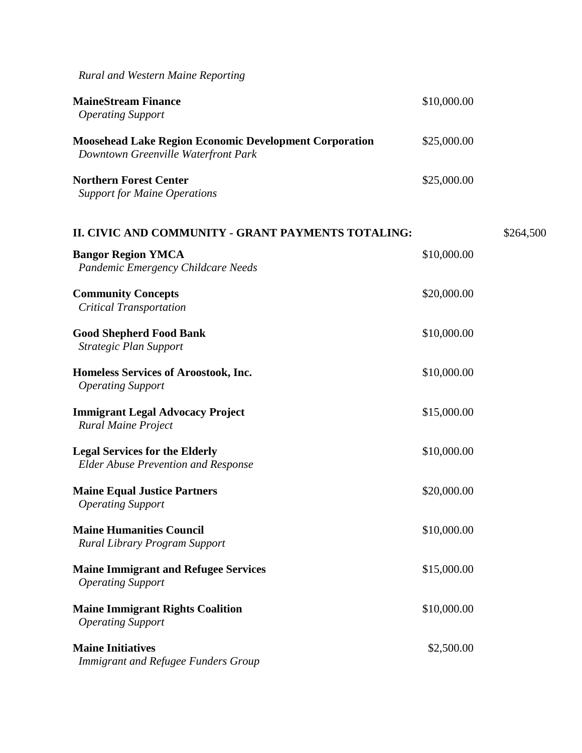*Rural and Western Maine Reporting*  **MaineStream Finance**   *Operating Support*  \$10,000.00 **Moosehead Lake Region Economic Development Corporation**  *Downtown Greenville Waterfront Park*  \$25,000.00 **Northern Forest Center**  *Support for Maine Operations* \$25,000.00 **II. CIVIC AND COMMUNITY - GRANT PAYMENTS TOTALING:** \$264,500 **Bangor Region YMCA** *Pandemic Emergency Childcare Needs*  \$10,000.00 **Community Concepts**  *Critical Transportation*  \$20,000.00 **Good Shepherd Food Bank**  *Strategic Plan Support*  \$10,000.00 **Homeless Services of Aroostook, Inc.** *Operating Support*  \$10,000.00 **Immigrant Legal Advocacy Project**  *Rural Maine Project*  \$15,000.00 **Legal Services for the Elderly** *Elder Abuse Prevention and Response*  \$10,000.00 **Maine Equal Justice Partners**  *Operating Support*  \$20,000.00 **Maine Humanities Council**  *Rural Library Program Support*  \$10,000.00 **Maine Immigrant and Refugee Services**  *Operating Support*  \$15,000.00 **Maine Immigrant Rights Coalition**  *Operating Support*  \$10,000.00 **Maine Initiatives**  *Immigrant and Refugee Funders Group*  \$2,500.00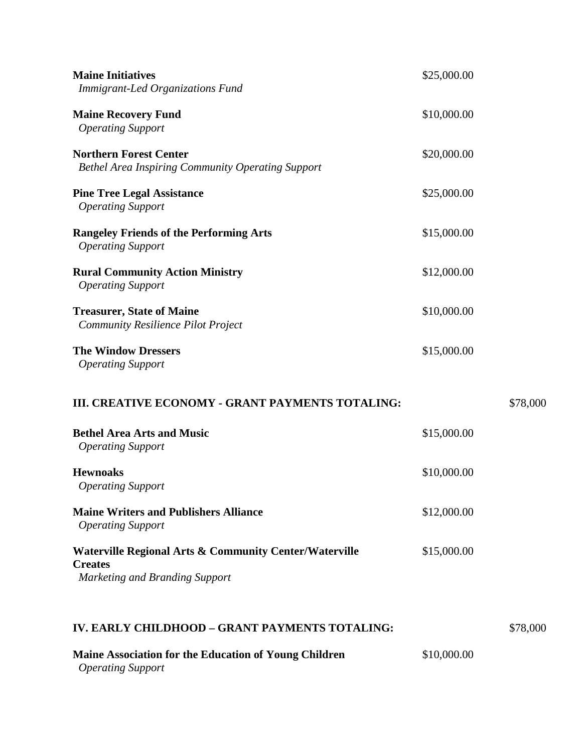| <b>Maine Initiatives</b><br>Immigrant-Led Organizations Fund                                               | \$25,000.00 |          |
|------------------------------------------------------------------------------------------------------------|-------------|----------|
| <b>Maine Recovery Fund</b><br><b>Operating Support</b>                                                     | \$10,000.00 |          |
| <b>Northern Forest Center</b><br><b>Bethel Area Inspiring Community Operating Support</b>                  | \$20,000.00 |          |
| <b>Pine Tree Legal Assistance</b><br><b>Operating Support</b>                                              | \$25,000.00 |          |
| <b>Rangeley Friends of the Performing Arts</b><br><b>Operating Support</b>                                 | \$15,000.00 |          |
| <b>Rural Community Action Ministry</b><br><b>Operating Support</b>                                         | \$12,000.00 |          |
| <b>Treasurer, State of Maine</b><br><b>Community Resilience Pilot Project</b>                              | \$10,000.00 |          |
| <b>The Window Dressers</b><br><b>Operating Support</b>                                                     | \$15,000.00 |          |
| III. CREATIVE ECONOMY - GRANT PAYMENTS TOTALING:                                                           |             | \$78,000 |
| <b>Bethel Area Arts and Music</b><br><b>Operating Support</b>                                              | \$15,000.00 |          |
| <b>Hewnoaks</b><br><b>Operating Support</b>                                                                | \$10,000.00 |          |
| <b>Maine Writers and Publishers Alliance</b><br><b>Operating Support</b>                                   | \$12,000.00 |          |
| Waterville Regional Arts & Community Center/Waterville<br><b>Creates</b><br>Marketing and Branding Support | \$15,000.00 |          |
| IV. EARLY CHILDHOOD - GRANT PAYMENTS TOTALING:                                                             |             | \$78,000 |
| Maine Association for the Education of Young Children<br><b>Operating Support</b>                          | \$10,000.00 |          |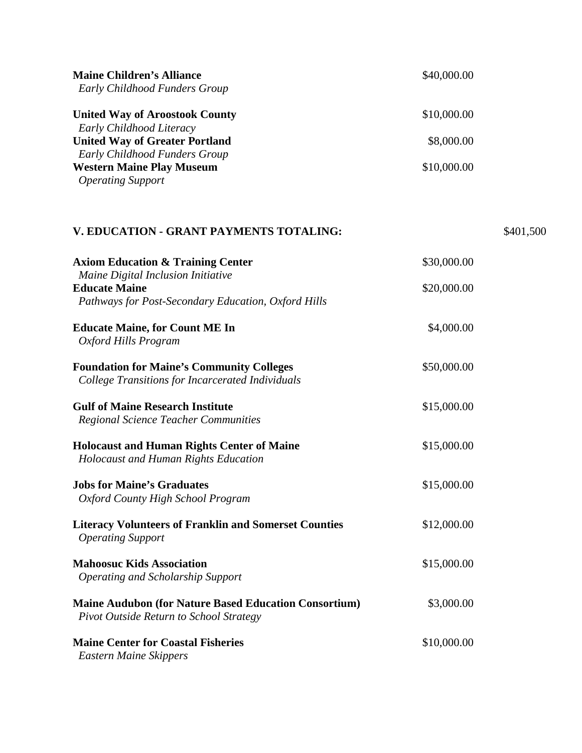| <b>Maine Children's Alliance</b><br>Early Childhood Funders Group                                                 | \$40,000.00 |           |
|-------------------------------------------------------------------------------------------------------------------|-------------|-----------|
| <b>United Way of Aroostook County</b>                                                                             | \$10,000.00 |           |
| Early Childhood Literacy<br><b>United Way of Greater Portland</b>                                                 | \$8,000.00  |           |
| Early Childhood Funders Group<br><b>Western Maine Play Museum</b><br><b>Operating Support</b>                     | \$10,000.00 |           |
| V. EDUCATION - GRANT PAYMENTS TOTALING:                                                                           |             | \$401,500 |
| <b>Axiom Education &amp; Training Center</b>                                                                      | \$30,000.00 |           |
| Maine Digital Inclusion Initiative<br><b>Educate Maine</b><br>Pathways for Post-Secondary Education, Oxford Hills | \$20,000.00 |           |
| <b>Educate Maine, for Count ME In</b><br>Oxford Hills Program                                                     | \$4,000.00  |           |
| <b>Foundation for Maine's Community Colleges</b><br><b>College Transitions for Incarcerated Individuals</b>       | \$50,000.00 |           |
| <b>Gulf of Maine Research Institute</b><br><b>Regional Science Teacher Communities</b>                            | \$15,000.00 |           |
| <b>Holocaust and Human Rights Center of Maine</b><br><b>Holocaust and Human Rights Education</b>                  | \$15,000.00 |           |
| <b>Jobs for Maine's Graduates</b><br>Oxford County High School Program                                            | \$15,000.00 |           |
| <b>Literacy Volunteers of Franklin and Somerset Counties</b><br><b>Operating Support</b>                          | \$12,000.00 |           |
| <b>Mahoosuc Kids Association</b><br><b>Operating and Scholarship Support</b>                                      | \$15,000.00 |           |
| <b>Maine Audubon (for Nature Based Education Consortium)</b><br>Pivot Outside Return to School Strategy           | \$3,000.00  |           |
| <b>Maine Center for Coastal Fisheries</b><br><b>Eastern Maine Skippers</b>                                        | \$10,000.00 |           |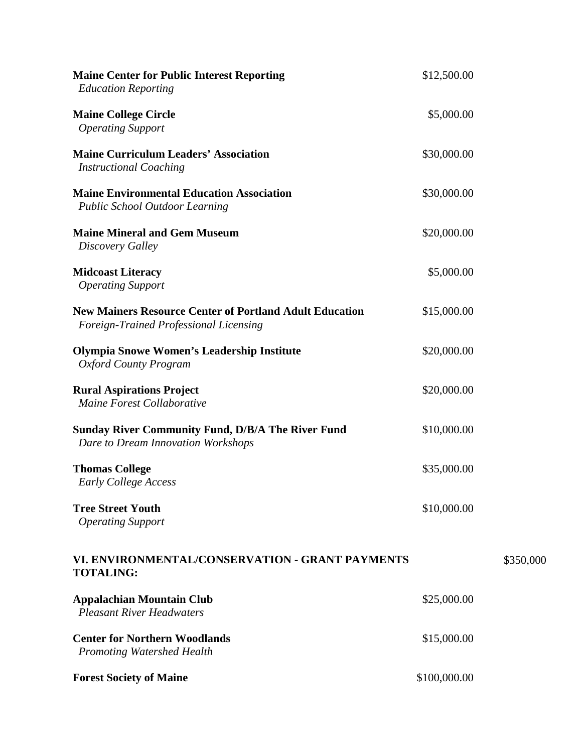| <b>Maine Center for Public Interest Reporting</b><br><b>Education Reporting</b>                          | \$12,500.00  |           |
|----------------------------------------------------------------------------------------------------------|--------------|-----------|
| <b>Maine College Circle</b><br><b>Operating Support</b>                                                  | \$5,000.00   |           |
| <b>Maine Curriculum Leaders' Association</b><br><b>Instructional Coaching</b>                            | \$30,000.00  |           |
| <b>Maine Environmental Education Association</b><br><b>Public School Outdoor Learning</b>                | \$30,000.00  |           |
| <b>Maine Mineral and Gem Museum</b><br>Discovery Galley                                                  | \$20,000.00  |           |
| <b>Midcoast Literacy</b><br><b>Operating Support</b>                                                     | \$5,000.00   |           |
| <b>New Mainers Resource Center of Portland Adult Education</b><br>Foreign-Trained Professional Licensing | \$15,000.00  |           |
| <b>Olympia Snowe Women's Leadership Institute</b><br><b>Oxford County Program</b>                        | \$20,000.00  |           |
| <b>Rural Aspirations Project</b><br>Maine Forest Collaborative                                           | \$20,000.00  |           |
| <b>Sunday River Community Fund, D/B/A The River Fund</b><br>Dare to Dream Innovation Workshops           | \$10,000.00  |           |
| <b>Thomas College</b><br>Early College Access                                                            | \$35,000.00  |           |
| <b>Tree Street Youth</b><br><b>Operating Support</b>                                                     | \$10,000.00  |           |
| VI. ENVIRONMENTAL/CONSERVATION - GRANT PAYMENTS<br><b>TOTALING:</b>                                      |              | \$350,000 |
| <b>Appalachian Mountain Club</b><br><b>Pleasant River Headwaters</b>                                     | \$25,000.00  |           |
| <b>Center for Northern Woodlands</b><br><b>Promoting Watershed Health</b>                                | \$15,000.00  |           |
| <b>Forest Society of Maine</b>                                                                           | \$100,000.00 |           |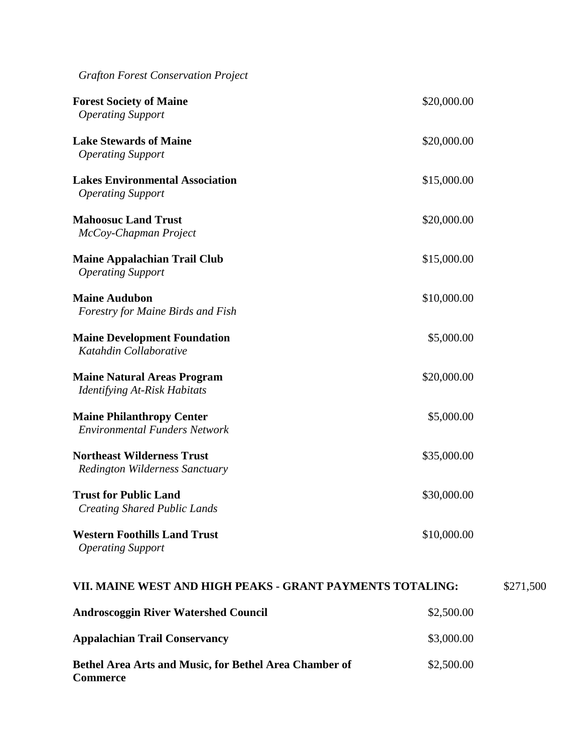| <b>Grafton Forest Conservation Project</b>                                 |             |           |
|----------------------------------------------------------------------------|-------------|-----------|
| <b>Forest Society of Maine</b><br><b>Operating Support</b>                 | \$20,000.00 |           |
| <b>Lake Stewards of Maine</b><br><b>Operating Support</b>                  | \$20,000.00 |           |
| <b>Lakes Environmental Association</b><br><b>Operating Support</b>         | \$15,000.00 |           |
| <b>Mahoosuc Land Trust</b><br>McCoy-Chapman Project                        | \$20,000.00 |           |
| <b>Maine Appalachian Trail Club</b><br><b>Operating Support</b>            | \$15,000.00 |           |
| <b>Maine Audubon</b><br><b>Forestry for Maine Birds and Fish</b>           | \$10,000.00 |           |
| <b>Maine Development Foundation</b><br>Katahdin Collaborative              | \$5,000.00  |           |
| <b>Maine Natural Areas Program</b><br><b>Identifying At-Risk Habitats</b>  | \$20,000.00 |           |
| <b>Maine Philanthropy Center</b><br><b>Environmental Funders Network</b>   | \$5,000.00  |           |
| <b>Northeast Wilderness Trust</b><br><b>Redington Wilderness Sanctuary</b> | \$35,000.00 |           |
| <b>Trust for Public Land</b><br><b>Creating Shared Public Lands</b>        | \$30,000.00 |           |
| <b>Western Foothills Land Trust</b><br><b>Operating Support</b>            | \$10,000.00 |           |
| VII. MAINE WEST AND HIGH PEAKS - GRANT PAYMENTS TOTALING:                  |             | \$271,500 |
| <b>Androscoggin River Watershed Council</b>                                | \$2,500.00  |           |
| <b>Appalachian Trail Conservancy</b>                                       | \$3,000.00  |           |
| Bethel Area Arts and Music, for Bethel Area Chamber of<br><b>Commerce</b>  | \$2,500.00  |           |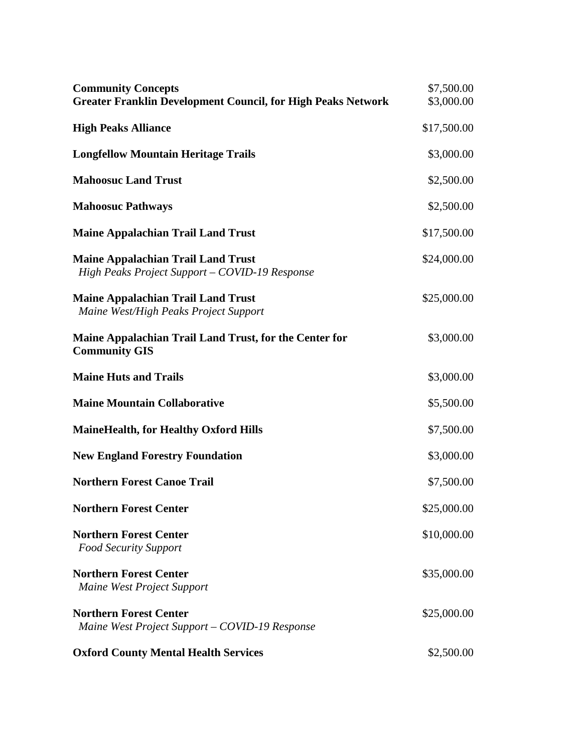| <b>Community Concepts</b><br><b>Greater Franklin Development Council, for High Peaks Network</b> | \$7,500.00<br>\$3,000.00 |
|--------------------------------------------------------------------------------------------------|--------------------------|
| <b>High Peaks Alliance</b>                                                                       | \$17,500.00              |
| <b>Longfellow Mountain Heritage Trails</b>                                                       | \$3,000.00               |
| <b>Mahoosuc Land Trust</b>                                                                       | \$2,500.00               |
| <b>Mahoosuc Pathways</b>                                                                         | \$2,500.00               |
| <b>Maine Appalachian Trail Land Trust</b>                                                        | \$17,500.00              |
| <b>Maine Appalachian Trail Land Trust</b><br>High Peaks Project Support - COVID-19 Response      | \$24,000.00              |
| <b>Maine Appalachian Trail Land Trust</b><br>Maine West/High Peaks Project Support               | \$25,000.00              |
| Maine Appalachian Trail Land Trust, for the Center for<br><b>Community GIS</b>                   | \$3,000.00               |
| <b>Maine Huts and Trails</b>                                                                     | \$3,000.00               |
| <b>Maine Mountain Collaborative</b>                                                              | \$5,500.00               |
| <b>MaineHealth, for Healthy Oxford Hills</b>                                                     | \$7,500.00               |
| <b>New England Forestry Foundation</b>                                                           | \$3,000.00               |
| <b>Northern Forest Canoe Trail</b>                                                               | \$7,500.00               |
| <b>Northern Forest Center</b>                                                                    | \$25,000.00              |
| <b>Northern Forest Center</b><br><b>Food Security Support</b>                                    | \$10,000.00              |
| <b>Northern Forest Center</b><br><b>Maine West Project Support</b>                               | \$35,000.00              |
| <b>Northern Forest Center</b><br>Maine West Project Support – COVID-19 Response                  | \$25,000.00              |
| <b>Oxford County Mental Health Services</b>                                                      | \$2,500.00               |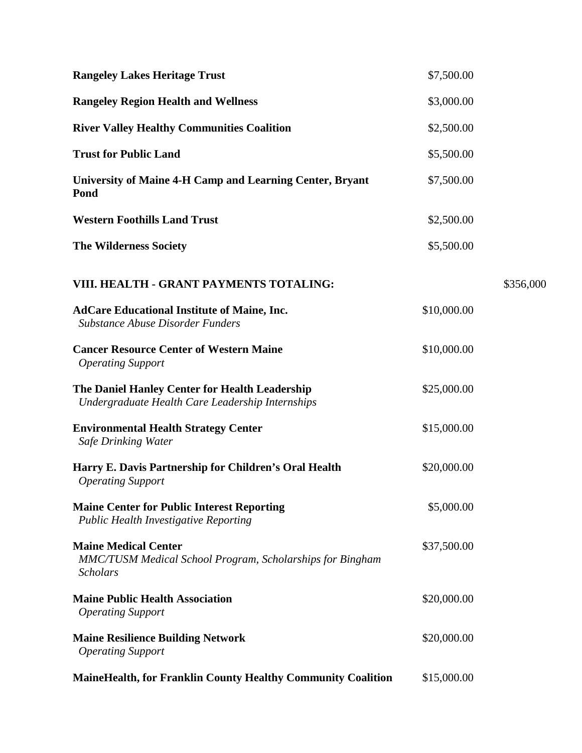| <b>Rangeley Lakes Heritage Trust</b>                                                                        | \$7,500.00  |           |
|-------------------------------------------------------------------------------------------------------------|-------------|-----------|
| <b>Rangeley Region Health and Wellness</b>                                                                  | \$3,000.00  |           |
| <b>River Valley Healthy Communities Coalition</b>                                                           | \$2,500.00  |           |
| <b>Trust for Public Land</b>                                                                                | \$5,500.00  |           |
| University of Maine 4-H Camp and Learning Center, Bryant<br>Pond                                            | \$7,500.00  |           |
| <b>Western Foothills Land Trust</b>                                                                         | \$2,500.00  |           |
| <b>The Wilderness Society</b>                                                                               | \$5,500.00  |           |
| VIII. HEALTH - GRANT PAYMENTS TOTALING:                                                                     |             | \$356,000 |
| <b>AdCare Educational Institute of Maine, Inc.</b><br><b>Substance Abuse Disorder Funders</b>               | \$10,000.00 |           |
| <b>Cancer Resource Center of Western Maine</b><br><b>Operating Support</b>                                  | \$10,000.00 |           |
| The Daniel Hanley Center for Health Leadership<br>Undergraduate Health Care Leadership Internships          | \$25,000.00 |           |
| <b>Environmental Health Strategy Center</b><br><b>Safe Drinking Water</b>                                   | \$15,000.00 |           |
| Harry E. Davis Partnership for Children's Oral Health<br><b>Operating Support</b>                           | \$20,000.00 |           |
| <b>Maine Center for Public Interest Reporting</b><br>Public Health Investigative Reporting                  | \$5,000.00  |           |
| <b>Maine Medical Center</b><br>MMC/TUSM Medical School Program, Scholarships for Bingham<br><b>Scholars</b> | \$37,500.00 |           |
| <b>Maine Public Health Association</b><br><b>Operating Support</b>                                          | \$20,000.00 |           |
| <b>Maine Resilience Building Network</b><br><b>Operating Support</b>                                        | \$20,000.00 |           |
| <b>MaineHealth, for Franklin County Healthy Community Coalition</b>                                         | \$15,000.00 |           |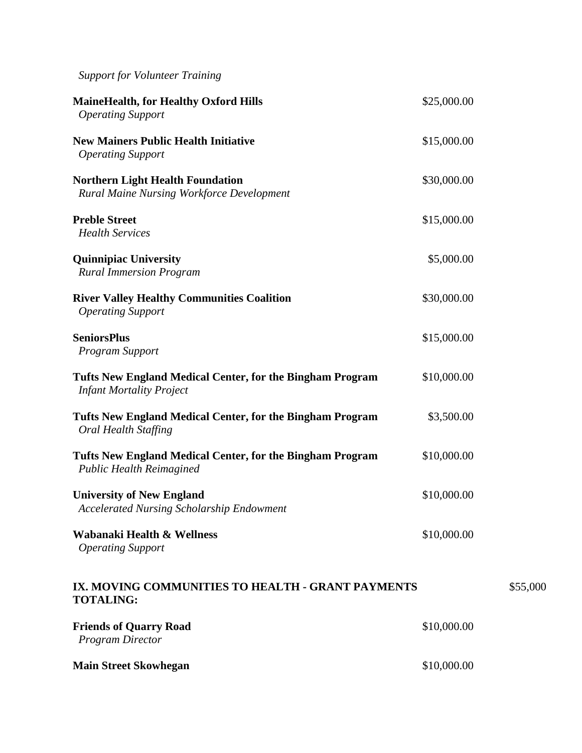| <b>MaineHealth, for Healthy Oxford Hills</b><br><b>Operating Support</b>                     | \$25,000.00 |
|----------------------------------------------------------------------------------------------|-------------|
| <b>New Mainers Public Health Initiative</b><br><b>Operating Support</b>                      | \$15,000.00 |
| <b>Northern Light Health Foundation</b><br><b>Rural Maine Nursing Workforce Development</b>  | \$30,000.00 |
| <b>Preble Street</b><br><b>Health Services</b>                                               | \$15,000.00 |
| <b>Quinnipiac University</b><br><b>Rural Immersion Program</b>                               | \$5,000.00  |
| <b>River Valley Healthy Communities Coalition</b><br><b>Operating Support</b>                | \$30,000.00 |
| <b>SeniorsPlus</b><br>Program Support                                                        | \$15,000.00 |
| Tufts New England Medical Center, for the Bingham Program<br><b>Infant Mortality Project</b> | \$10,000.00 |
| Tufts New England Medical Center, for the Bingham Program<br>Oral Health Staffing            | \$3,500.00  |
| Tufts New England Medical Center, for the Bingham Program<br><b>Public Health Reimagined</b> | \$10,000.00 |
| <b>University of New England</b><br><b>Accelerated Nursing Scholarship Endowment</b>         | \$10,000.00 |
| Wabanaki Health & Wellness<br><b>Operating Support</b>                                       | \$10,000.00 |
| IX. MOVING COMMUNITIES TO HEALTH - GRANT PAYMENTS<br><b>TOTALING:</b>                        |             |
| <b>Friends of Quarry Road</b><br><b>Program Director</b>                                     | \$10,000.00 |
| <b>Main Street Skowhegan</b>                                                                 | \$10,000.00 |

\$55,000

*Support for Volunteer Training*